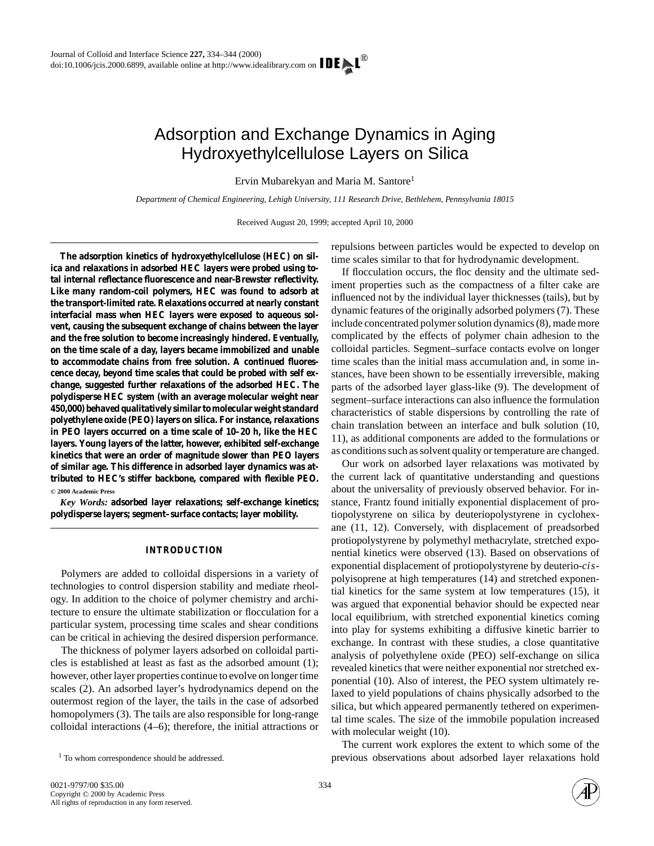# Adsorption and Exchange Dynamics in Aging Hydroxyethylcellulose Layers on Silica

Ervin Mubarekyan and Maria M. Santore1

*Department of Chemical Engineering, Lehigh University, 111 Research Drive, Bethlehem, Pennsylvania 18015*

Received August 20, 1999; accepted April 10, 2000

**The adsorption kinetics of hydroxyethylcellulose (HEC) on silica and relaxations in adsorbed HEC layers were probed using total internal reflectance fluorescence and near-Brewster reflectivity. Like many random-coil polymers, HEC was found to adsorb at the transport-limited rate. Relaxations occurred at nearly constant interfacial mass when HEC layers were exposed to aqueous solvent, causing the subsequent exchange of chains between the layer and the free solution to become increasingly hindered. Eventually, on the time scale of a day, layers became immobilized and unable to accommodate chains from free solution. A continued fluorescence decay, beyond time scales that could be probed with self exchange, suggested further relaxations of the adsorbed HEC. The polydisperse HEC system (with an average molecular weight near 450,000) behaved qualitatively similar to molecular weight standard polyethylene oxide (PEO) layers on silica. For instance, relaxations in PEO layers occurred on a time scale of 10–20 h, like the HEC layers. Young layers of the latter, however, exhibited self-exchange kinetics that were an order of magnitude slower than PEO layers of similar age. This difference in adsorbed layer dynamics was attributed to HEC's stiffer backbone, compared with flexible PEO.** °**<sup>C</sup> 2000 Academic Press**

*Key Words:* **adsorbed layer relaxations; self-exchange kinetics; polydisperse layers; segment–surface contacts; layer mobility.**

## **INTRODUCTION**

Polymers are added to colloidal dispersions in a variety of technologies to control dispersion stability and mediate rheology. In addition to the choice of polymer chemistry and architecture to ensure the ultimate stabilization or flocculation for a particular system, processing time scales and shear conditions can be critical in achieving the desired dispersion performance.

The thickness of polymer layers adsorbed on colloidal particles is established at least as fast as the adsorbed amount (1); however, other layer properties continue to evolve on longer time scales (2). An adsorbed layer's hydrodynamics depend on the outermost region of the layer, the tails in the case of adsorbed homopolymers (3). The tails are also responsible for long-range colloidal interactions (4–6); therefore, the initial attractions or repulsions between particles would be expected to develop on time scales similar to that for hydrodynamic development.

If flocculation occurs, the floc density and the ultimate sediment properties such as the compactness of a filter cake are influenced not by the individual layer thicknesses (tails), but by dynamic features of the originally adsorbed polymers (7). These include concentrated polymer solution dynamics (8), made more complicated by the effects of polymer chain adhesion to the colloidal particles. Segment–surface contacts evolve on longer time scales than the initial mass accumulation and, in some instances, have been shown to be essentially irreversible, making parts of the adsorbed layer glass-like (9). The development of segment–surface interactions can also influence the formulation characteristics of stable dispersions by controlling the rate of chain translation between an interface and bulk solution (10, 11), as additional components are added to the formulations or as conditions such as solvent quality or temperature are changed.

Our work on adsorbed layer relaxations was motivated by the current lack of quantitative understanding and questions about the universality of previously observed behavior. For instance, Frantz found initially exponential displacement of protiopolystyrene on silica by deuteriopolystyrene in cyclohexane (11, 12). Conversely, with displacement of preadsorbed protiopolystyrene by polymethyl methacrylate, stretched exponential kinetics were observed (13). Based on observations of exponential displacement of protiopolystyrene by deuterio-*cis*polyisoprene at high temperatures (14) and stretched exponential kinetics for the same system at low temperatures (15), it was argued that exponential behavior should be expected near local equilibrium, with stretched exponential kinetics coming into play for systems exhibiting a diffusive kinetic barrier to exchange. In contrast with these studies, a close quantitative analysis of polyethylene oxide (PEO) self-exchange on silica revealed kinetics that were neither exponential nor stretched exponential (10). Also of interest, the PEO system ultimately relaxed to yield populations of chains physically adsorbed to the silica, but which appeared permanently tethered on experimental time scales. The size of the immobile population increased with molecular weight (10).

The current work explores the extent to which some of the previous observations about adsorbed layer relaxations hold



<sup>&</sup>lt;sup>1</sup> To whom correspondence should be addressed.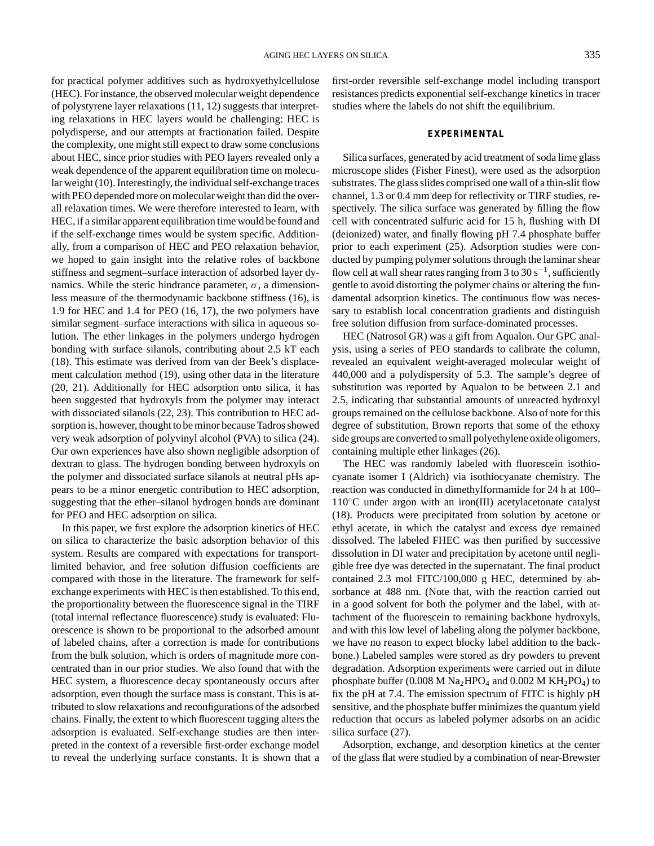for practical polymer additives such as hydroxyethylcellulose (HEC). For instance, the observed molecular weight dependence of polystyrene layer relaxations (11, 12) suggests that interpreting relaxations in HEC layers would be challenging: HEC is polydisperse, and our attempts at fractionation failed. Despite the complexity, one might still expect to draw some conclusions about HEC, since prior studies with PEO layers revealed only a weak dependence of the apparent equilibration time on molecular weight (10). Interestingly, the individual self-exchange traces with PEO depended more on molecular weight than did the overall relaxation times. We were therefore interested to learn, with HEC, if a similar apparent equilibration time would be found and if the self-exchange times would be system specific. Additionally, from a comparison of HEC and PEO relaxation behavior, we hoped to gain insight into the relative roles of backbone stiffness and segment–surface interaction of adsorbed layer dynamics. While the steric hindrance parameter,  $\sigma$ , a dimensionless measure of the thermodynamic backbone stiffness (16), is 1.9 for HEC and 1.4 for PEO (16, 17), the two polymers have similar segment–surface interactions with silica in aqueous solution. The ether linkages in the polymers undergo hydrogen bonding with surface silanols, contributing about 2.5 kT each (18). This estimate was derived from van der Beek's displacement calculation method (19), using other data in the literature (20, 21). Additionally for HEC adsorption onto silica, it has been suggested that hydroxyls from the polymer may interact with dissociated silanols (22, 23). This contribution to HEC adsorption is, however, thought to be minor because Tadros showed very weak adsorption of polyvinyl alcohol (PVA) to silica (24). Our own experiences have also shown negligible adsorption of dextran to glass. The hydrogen bonding between hydroxyls on the polymer and dissociated surface silanols at neutral pHs appears to be a minor energetic contribution to HEC adsorption, suggesting that the ether–silanol hydrogen bonds are dominant for PEO and HEC adsorption on silica.

In this paper, we first explore the adsorption kinetics of HEC on silica to characterize the basic adsorption behavior of this system. Results are compared with expectations for transportlimited behavior, and free solution diffusion coefficients are compared with those in the literature. The framework for selfexchange experiments with HEC is then established. To this end, the proportionality between the fluorescence signal in the TIRF (total internal reflectance fluorescence) study is evaluated: Fluorescence is shown to be proportional to the adsorbed amount of labeled chains, after a correction is made for contributions from the bulk solution, which is orders of magnitude more concentrated than in our prior studies. We also found that with the HEC system, a fluorescence decay spontaneously occurs after adsorption, even though the surface mass is constant. This is attributed to slow relaxations and reconfigurations of the adsorbed chains. Finally, the extent to which fluorescent tagging alters the adsorption is evaluated. Self-exchange studies are then interpreted in the context of a reversible first-order exchange model to reveal the underlying surface constants. It is shown that a first-order reversible self-exchange model including transport resistances predicts exponential self-exchange kinetics in tracer studies where the labels do not shift the equilibrium.

## **EXPERIMENTAL**

Silica surfaces, generated by acid treatment of soda lime glass microscope slides (Fisher Finest), were used as the adsorption substrates. The glass slides comprised one wall of a thin-slit flow channel, 1.3 or 0.4 mm deep for reflectivity or TIRF studies, respectively. The silica surface was generated by filling the flow cell with concentrated sulfuric acid for 15 h, flushing with DI (deionized) water, and finally flowing pH 7.4 phosphate buffer prior to each experiment (25). Adsorption studies were conducted by pumping polymer solutions through the laminar shear flow cell at wall shear rates ranging from 3 to 30 s<sup>-1</sup>, sufficiently gentle to avoid distorting the polymer chains or altering the fundamental adsorption kinetics. The continuous flow was necessary to establish local concentration gradients and distinguish free solution diffusion from surface-dominated processes.

HEC (Natrosol GR) was a gift from Aqualon. Our GPC analysis, using a series of PEO standards to calibrate the column, revealed an equivalent weight-averaged molecular weight of 440,000 and a polydispersity of 5.3. The sample's degree of substitution was reported by Aqualon to be between 2.1 and 2.5, indicating that substantial amounts of unreacted hydroxyl groups remained on the cellulose backbone. Also of note for this degree of substitution, Brown reports that some of the ethoxy side groups are converted to small polyethylene oxide oligomers, containing multiple ether linkages (26).

The HEC was randomly labeled with fluorescein isothiocyanate isomer I (Aldrich) via isothiocyanate chemistry. The reaction was conducted in dimethylformamide for 24 h at 100– 110◦C under argon with an iron(III) acetylacetonate catalyst (18). Products were precipitated from solution by acetone or ethyl acetate, in which the catalyst and excess dye remained dissolved. The labeled FHEC was then purified by successive dissolution in DI water and precipitation by acetone until negligible free dye was detected in the supernatant. The final product contained 2.3 mol FITC/100,000 g HEC, determined by absorbance at 488 nm. (Note that, with the reaction carried out in a good solvent for both the polymer and the label, with attachment of the fluorescein to remaining backbone hydroxyls, and with this low level of labeling along the polymer backbone, we have no reason to expect blocky label addition to the backbone.) Labeled samples were stored as dry powders to prevent degradation. Adsorption experiments were carried out in dilute phosphate buffer (0.008 M  $Na<sub>2</sub>HPO<sub>4</sub>$  and 0.002 M  $KH<sub>2</sub>PO<sub>4</sub>$ ) to fix the pH at 7.4. The emission spectrum of FITC is highly pH sensitive, and the phosphate buffer minimizes the quantum yield reduction that occurs as labeled polymer adsorbs on an acidic silica surface (27).

Adsorption, exchange, and desorption kinetics at the center of the glass flat were studied by a combination of near-Brewster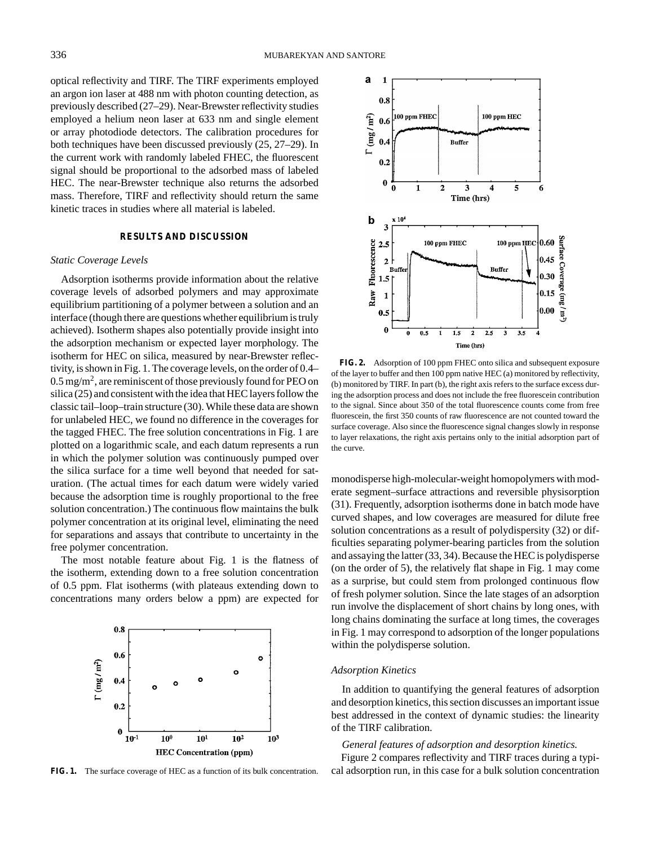optical reflectivity and TIRF. The TIRF experiments employed an argon ion laser at 488 nm with photon counting detection, as previously described (27–29). Near-Brewster reflectivity studies employed a helium neon laser at 633 nm and single element or array photodiode detectors. The calibration procedures for both techniques have been discussed previously (25, 27–29). In the current work with randomly labeled FHEC, the fluorescent signal should be proportional to the adsorbed mass of labeled HEC. The near-Brewster technique also returns the adsorbed mass. Therefore, TIRF and reflectivity should return the same kinetic traces in studies where all material is labeled.

# **RESULTS AND DISCUSSION**

### *Static Coverage Levels*

Adsorption isotherms provide information about the relative coverage levels of adsorbed polymers and may approximate equilibrium partitioning of a polymer between a solution and an interface (though there are questions whether equilibrium is truly achieved). Isotherm shapes also potentially provide insight into the adsorption mechanism or expected layer morphology. The isotherm for HEC on silica, measured by near-Brewster reflectivity, is shown in Fig. 1. The coverage levels, on the order of 0.4–  $0.5 \,\text{mg/m}^2$ , are reminiscent of those previously found for PEO on silica (25) and consistent with the idea that HEC layers follow the classic tail–loop–train structure (30). While these data are shown for unlabeled HEC, we found no difference in the coverages for the tagged FHEC. The free solution concentrations in Fig. 1 are plotted on a logarithmic scale, and each datum represents a run in which the polymer solution was continuously pumped over the silica surface for a time well beyond that needed for saturation. (The actual times for each datum were widely varied because the adsorption time is roughly proportional to the free solution concentration.) The continuous flow maintains the bulk polymer concentration at its original level, eliminating the need for separations and assays that contribute to uncertainty in the free polymer concentration.

The most notable feature about Fig. 1 is the flatness of the isotherm, extending down to a free solution concentration of 0.5 ppm. Flat isotherms (with plateaus extending down to concentrations many orders below a ppm) are expected for



**FIG. 1.** The surface coverage of HEC as a function of its bulk concentration.



**FIG. 2.** Adsorption of 100 ppm FHEC onto silica and subsequent exposure of the layer to buffer and then 100 ppm native HEC (a) monitored by reflectivity, (b) monitored by TIRF. In part (b), the right axis refers to the surface excess during the adsorption process and does not include the free fluorescein contribution to the signal. Since about 350 of the total fluorescence counts come from free fluorescein, the first 350 counts of raw fluorescence are not counted toward the surface coverage. Also since the fluorescence signal changes slowly in response to layer relaxations, the right axis pertains only to the initial adsorption part of the curve.

monodisperse high-molecular-weight homopolymers with moderate segment–surface attractions and reversible physisorption (31). Frequently, adsorption isotherms done in batch mode have curved shapes, and low coverages are measured for dilute free solution concentrations as a result of polydispersity (32) or difficulties separating polymer-bearing particles from the solution and assaying the latter (33, 34). Because the HEC is polydisperse (on the order of 5), the relatively flat shape in Fig. 1 may come as a surprise, but could stem from prolonged continuous flow of fresh polymer solution. Since the late stages of an adsorption run involve the displacement of short chains by long ones, with long chains dominating the surface at long times, the coverages in Fig. 1 may correspond to adsorption of the longer populations within the polydisperse solution.

# *Adsorption Kinetics*

In addition to quantifying the general features of adsorption and desorption kinetics, this section discusses an important issue best addressed in the context of dynamic studies: the linearity of the TIRF calibration.

## *General features of adsorption and desorption kinetics.*

Figure 2 compares reflectivity and TIRF traces during a typical adsorption run, in this case for a bulk solution concentration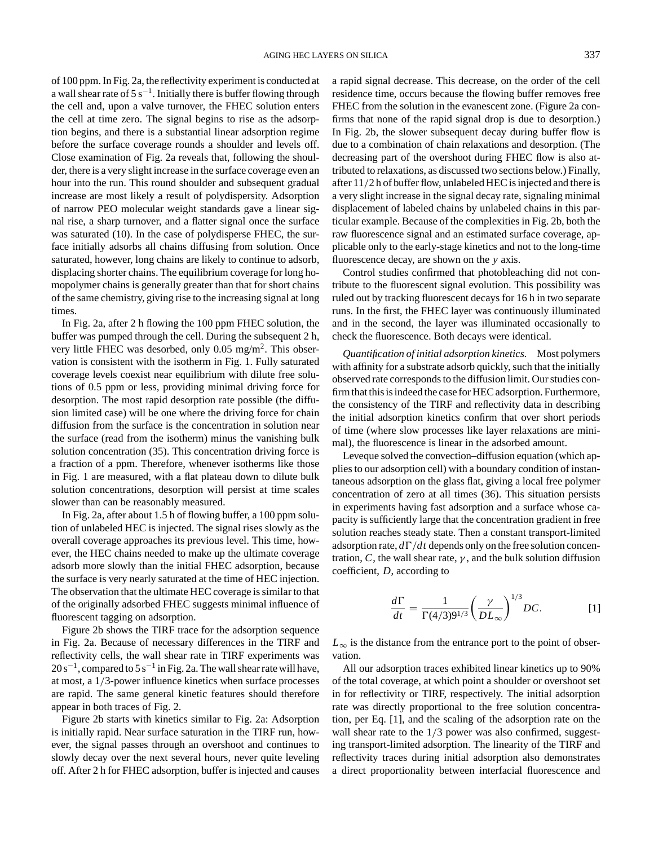of 100 ppm. In Fig. 2a, the reflectivity experiment is conducted at a wall shear rate of  $5 s^{-1}$ . Initially there is buffer flowing through the cell and, upon a valve turnover, the FHEC solution enters the cell at time zero. The signal begins to rise as the adsorption begins, and there is a substantial linear adsorption regime before the surface coverage rounds a shoulder and levels off. Close examination of Fig. 2a reveals that, following the shoulder, there is a very slight increase in the surface coverage even an hour into the run. This round shoulder and subsequent gradual increase are most likely a result of polydispersity. Adsorption of narrow PEO molecular weight standards gave a linear signal rise, a sharp turnover, and a flatter signal once the surface was saturated (10). In the case of polydisperse FHEC, the surface initially adsorbs all chains diffusing from solution. Once saturated, however, long chains are likely to continue to adsorb, displacing shorter chains. The equilibrium coverage for long homopolymer chains is generally greater than that for short chains of the same chemistry, giving rise to the increasing signal at long times.

In Fig. 2a, after 2 h flowing the 100 ppm FHEC solution, the buffer was pumped through the cell. During the subsequent 2 h, very little FHEC was desorbed, only  $0.05$  mg/m<sup>2</sup>. This observation is consistent with the isotherm in Fig. 1. Fully saturated coverage levels coexist near equilibrium with dilute free solutions of 0.5 ppm or less, providing minimal driving force for desorption. The most rapid desorption rate possible (the diffusion limited case) will be one where the driving force for chain diffusion from the surface is the concentration in solution near the surface (read from the isotherm) minus the vanishing bulk solution concentration (35). This concentration driving force is a fraction of a ppm. Therefore, whenever isotherms like those in Fig. 1 are measured, with a flat plateau down to dilute bulk solution concentrations, desorption will persist at time scales slower than can be reasonably measured.

In Fig. 2a, after about 1.5 h of flowing buffer, a 100 ppm solution of unlabeled HEC is injected. The signal rises slowly as the overall coverage approaches its previous level. This time, however, the HEC chains needed to make up the ultimate coverage adsorb more slowly than the initial FHEC adsorption, because the surface is very nearly saturated at the time of HEC injection. The observation that the ultimate HEC coverage is similar to that of the originally adsorbed FHEC suggests minimal influence of fluorescent tagging on adsorption.

Figure 2b shows the TIRF trace for the adsorption sequence in Fig. 2a. Because of necessary differences in the TIRF and reflectivity cells, the wall shear rate in TIRF experiments was  $20 s^{-1}$ , compared to 5 s<sup>-1</sup> in Fig. 2a. The wall shear rate will have, at most, a 1/3-power influence kinetics when surface processes are rapid. The same general kinetic features should therefore appear in both traces of Fig. 2.

Figure 2b starts with kinetics similar to Fig. 2a: Adsorption is initially rapid. Near surface saturation in the TIRF run, however, the signal passes through an overshoot and continues to slowly decay over the next several hours, never quite leveling off. After 2 h for FHEC adsorption, buffer is injected and causes a rapid signal decrease. This decrease, on the order of the cell residence time, occurs because the flowing buffer removes free FHEC from the solution in the evanescent zone. (Figure 2a confirms that none of the rapid signal drop is due to desorption.) In Fig. 2b, the slower subsequent decay during buffer flow is due to a combination of chain relaxations and desorption. (The decreasing part of the overshoot during FHEC flow is also attributed to relaxations, as discussed two sections below.) Finally, after 11/2 h of buffer flow, unlabeled HEC is injected and there is a very slight increase in the signal decay rate, signaling minimal displacement of labeled chains by unlabeled chains in this particular example. Because of the complexities in Fig. 2b, both the raw fluorescence signal and an estimated surface coverage, applicable only to the early-stage kinetics and not to the long-time fluorescence decay, are shown on the *y* axis.

Control studies confirmed that photobleaching did not contribute to the fluorescent signal evolution. This possibility was ruled out by tracking fluorescent decays for 16 h in two separate runs. In the first, the FHEC layer was continuously illuminated and in the second, the layer was illuminated occasionally to check the fluorescence. Both decays were identical.

*Quantification of initial adsorption kinetics.* Most polymers with affinity for a substrate adsorb quickly, such that the initially observed rate corresponds to the diffusion limit. Our studies confirm that this is indeed the case for HEC adsorption. Furthermore, the consistency of the TIRF and reflectivity data in describing the initial adsorption kinetics confirm that over short periods of time (where slow processes like layer relaxations are minimal), the fluorescence is linear in the adsorbed amount.

Leveque solved the convection–diffusion equation (which applies to our adsorption cell) with a boundary condition of instantaneous adsorption on the glass flat, giving a local free polymer concentration of zero at all times (36). This situation persists in experiments having fast adsorption and a surface whose capacity is sufficiently large that the concentration gradient in free solution reaches steady state. Then a constant transport-limited adsorption rate,  $d\Gamma/dt$  depends only on the free solution concentration,  $C$ , the wall shear rate,  $\gamma$ , and the bulk solution diffusion coefficient, *D*, according to

$$
\frac{d\Gamma}{dt} = \frac{1}{\Gamma(4/3)9^{1/3}} \left(\frac{\gamma}{DL_{\infty}}\right)^{1/3} DC.
$$
 [1]

 $L_{\infty}$  is the distance from the entrance port to the point of observation.

All our adsorption traces exhibited linear kinetics up to 90% of the total coverage, at which point a shoulder or overshoot set in for reflectivity or TIRF, respectively. The initial adsorption rate was directly proportional to the free solution concentration, per Eq. [1], and the scaling of the adsorption rate on the wall shear rate to the  $1/3$  power was also confirmed, suggesting transport-limited adsorption. The linearity of the TIRF and reflectivity traces during initial adsorption also demonstrates a direct proportionality between interfacial fluorescence and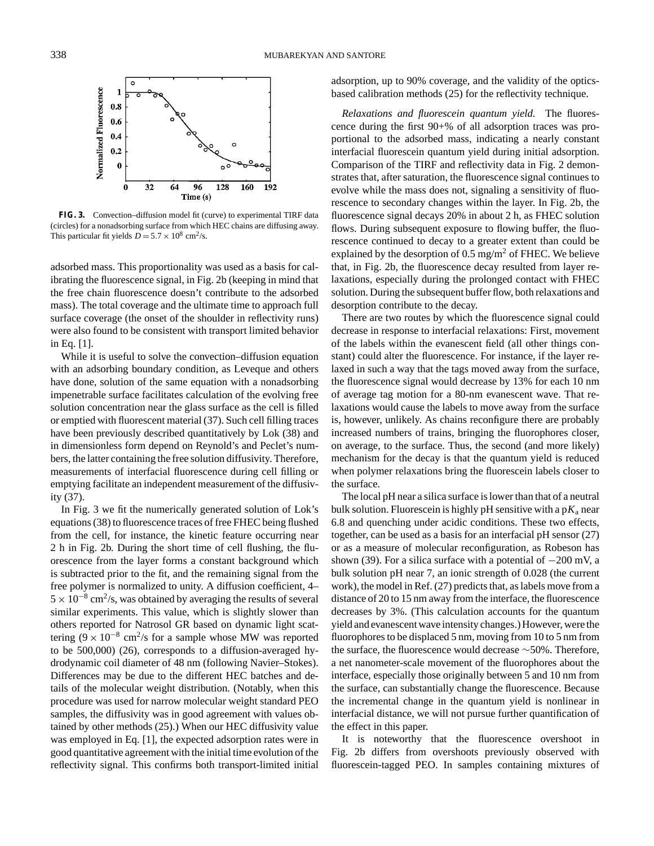

**FIG. 3.** Convection–diffusion model fit (curve) to experimental TIRF data (circles) for a nonadsorbing surface from which HEC chains are diffusing away. This particular fit yields  $D = 5.7 \times 10^8$  cm<sup>2</sup>/s.

adsorbed mass. This proportionality was used as a basis for calibrating the fluorescence signal, in Fig. 2b (keeping in mind that the free chain fluorescence doesn't contribute to the adsorbed mass). The total coverage and the ultimate time to approach full surface coverage (the onset of the shoulder in reflectivity runs) were also found to be consistent with transport limited behavior in Eq. [1].

While it is useful to solve the convection–diffusion equation with an adsorbing boundary condition, as Leveque and others have done, solution of the same equation with a nonadsorbing impenetrable surface facilitates calculation of the evolving free solution concentration near the glass surface as the cell is filled or emptied with fluorescent material (37). Such cell filling traces have been previously described quantitatively by Lok (38) and in dimensionless form depend on Reynold's and Peclet's numbers, the latter containing the free solution diffusivity. Therefore, measurements of interfacial fluorescence during cell filling or emptying facilitate an independent measurement of the diffusivity (37).

In Fig. 3 we fit the numerically generated solution of Lok's equations (38) to fluorescence traces of free FHEC being flushed from the cell, for instance, the kinetic feature occurring near 2 h in Fig. 2b. During the short time of cell flushing, the fluorescence from the layer forms a constant background which is subtracted prior to the fit, and the remaining signal from the free polymer is normalized to unity. A diffusion coefficient, 4–  $5 \times 10^{-8}$  cm<sup>2</sup>/s, was obtained by averaging the results of several similar experiments. This value, which is slightly slower than others reported for Natrosol GR based on dynamic light scattering ( $9 \times 10^{-8}$  cm<sup>2</sup>/s for a sample whose MW was reported to be 500,000) (26), corresponds to a diffusion-averaged hydrodynamic coil diameter of 48 nm (following Navier–Stokes). Differences may be due to the different HEC batches and details of the molecular weight distribution. (Notably, when this procedure was used for narrow molecular weight standard PEO samples, the diffusivity was in good agreement with values obtained by other methods (25).) When our HEC diffusivity value was employed in Eq. [1], the expected adsorption rates were in good quantitative agreement with the initial time evolution of the reflectivity signal. This confirms both transport-limited initial adsorption, up to 90% coverage, and the validity of the opticsbased calibration methods (25) for the reflectivity technique.

*Relaxations and fluorescein quantum yield.* The fluorescence during the first 90+% of all adsorption traces was proportional to the adsorbed mass, indicating a nearly constant interfacial fluorescein quantum yield during initial adsorption. Comparison of the TIRF and reflectivity data in Fig. 2 demonstrates that, after saturation, the fluorescence signal continues to evolve while the mass does not, signaling a sensitivity of fluorescence to secondary changes within the layer. In Fig. 2b, the fluorescence signal decays 20% in about 2 h, as FHEC solution flows. During subsequent exposure to flowing buffer, the fluorescence continued to decay to a greater extent than could be explained by the desorption of 0.5 mg/m2 of FHEC. We believe that, in Fig. 2b, the fluorescence decay resulted from layer relaxations, especially during the prolonged contact with FHEC solution. During the subsequent buffer flow, both relaxations and desorption contribute to the decay.

There are two routes by which the fluorescence signal could decrease in response to interfacial relaxations: First, movement of the labels within the evanescent field (all other things constant) could alter the fluorescence. For instance, if the layer relaxed in such a way that the tags moved away from the surface, the fluorescence signal would decrease by 13% for each 10 nm of average tag motion for a 80-nm evanescent wave. That relaxations would cause the labels to move away from the surface is, however, unlikely. As chains reconfigure there are probably increased numbers of trains, bringing the fluorophores closer, on average, to the surface. Thus, the second (and more likely) mechanism for the decay is that the quantum yield is reduced when polymer relaxations bring the fluorescein labels closer to the surface.

The local pH near a silica surface is lower than that of a neutral bulk solution. Fluorescein is highly pH sensitive with a  $pK_a$  near 6.8 and quenching under acidic conditions. These two effects, together, can be used as a basis for an interfacial pH sensor (27) or as a measure of molecular reconfiguration, as Robeson has shown (39). For a silica surface with a potential of  $-200$  mV, a bulk solution pH near 7, an ionic strength of 0.028 (the current work), the model in Ref. (27) predicts that, as labels move from a distance of 20 to 15 nm away from the interface, the fluorescence decreases by 3%. (This calculation accounts for the quantum yield and evanescent wave intensity changes.) However, were the fluorophores to be displaced 5 nm, moving from 10 to 5 nm from the surface, the fluorescence would decrease  $\sim$ 50%. Therefore, a net nanometer-scale movement of the fluorophores about the interface, especially those originally between 5 and 10 nm from the surface, can substantially change the fluorescence. Because the incremental change in the quantum yield is nonlinear in interfacial distance, we will not pursue further quantification of the effect in this paper.

It is noteworthy that the fluorescence overshoot in Fig. 2b differs from overshoots previously observed with fluorescein-tagged PEO. In samples containing mixtures of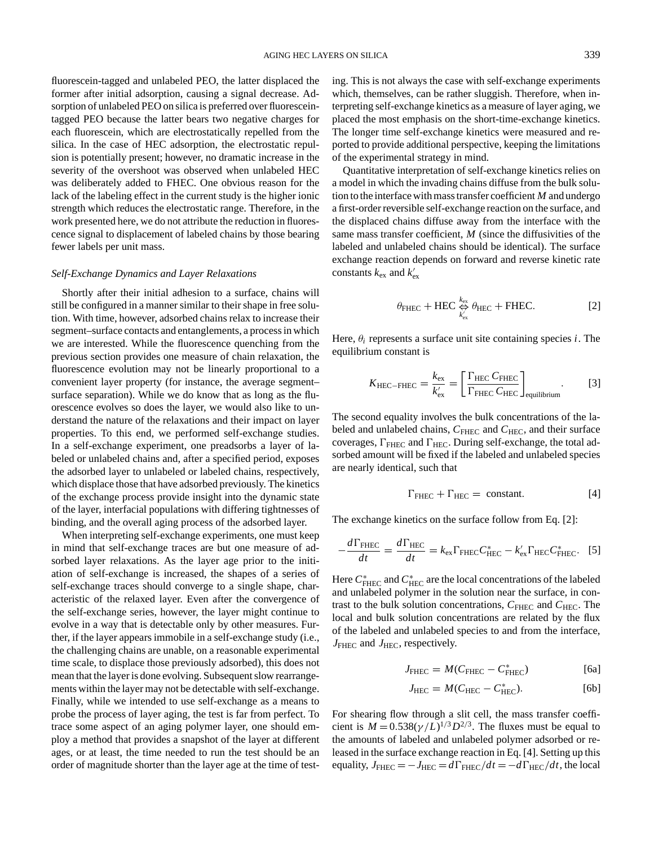fluorescein-tagged and unlabeled PEO, the latter displaced the former after initial adsorption, causing a signal decrease. Adsorption of unlabeled PEO on silica is preferred over fluoresceintagged PEO because the latter bears two negative charges for each fluorescein, which are electrostatically repelled from the silica. In the case of HEC adsorption, the electrostatic repulsion is potentially present; however, no dramatic increase in the severity of the overshoot was observed when unlabeled HEC was deliberately added to FHEC. One obvious reason for the lack of the labeling effect in the current study is the higher ionic strength which reduces the electrostatic range. Therefore, in the work presented here, we do not attribute the reduction in fluorescence signal to displacement of labeled chains by those bearing fewer labels per unit mass.

### *Self-Exchange Dynamics and Layer Relaxations*

Shortly after their initial adhesion to a surface, chains will still be configured in a manner similar to their shape in free solution. With time, however, adsorbed chains relax to increase their segment–surface contacts and entanglements, a process in which we are interested. While the fluorescence quenching from the previous section provides one measure of chain relaxation, the fluorescence evolution may not be linearly proportional to a convenient layer property (for instance, the average segment– surface separation). While we do know that as long as the fluorescence evolves so does the layer, we would also like to understand the nature of the relaxations and their impact on layer properties. To this end, we performed self-exchange studies. In a self-exchange experiment, one preadsorbs a layer of labeled or unlabeled chains and, after a specified period, exposes the adsorbed layer to unlabeled or labeled chains, respectively, which displace those that have adsorbed previously. The kinetics of the exchange process provide insight into the dynamic state of the layer, interfacial populations with differing tightnesses of binding, and the overall aging process of the adsorbed layer.

When interpreting self-exchange experiments, one must keep in mind that self-exchange traces are but one measure of adsorbed layer relaxations. As the layer age prior to the initiation of self-exchange is increased, the shapes of a series of self-exchange traces should converge to a single shape, characteristic of the relaxed layer. Even after the convergence of the self-exchange series, however, the layer might continue to evolve in a way that is detectable only by other measures. Further, if the layer appears immobile in a self-exchange study (i.e., the challenging chains are unable, on a reasonable experimental time scale, to displace those previously adsorbed), this does not mean that the layer is done evolving. Subsequent slow rearrangements within the layer may not be detectable with self-exchange. Finally, while we intended to use self-exchange as a means to probe the process of layer aging, the test is far from perfect. To trace some aspect of an aging polymer layer, one should employ a method that provides a snapshot of the layer at different ages, or at least, the time needed to run the test should be an order of magnitude shorter than the layer age at the time of testing. This is not always the case with self-exchange experiments which, themselves, can be rather sluggish. Therefore, when interpreting self-exchange kinetics as a measure of layer aging, we placed the most emphasis on the short-time-exchange kinetics. The longer time self-exchange kinetics were measured and reported to provide additional perspective, keeping the limitations of the experimental strategy in mind.

Quantitative interpretation of self-exchange kinetics relies on a model in which the invading chains diffuse from the bulk solution to the interface with mass transfer coefficient *M* and undergo a first-order reversible self-exchange reaction on the surface, and the displaced chains diffuse away from the interface with the same mass transfer coefficient, *M* (since the diffusivities of the labeled and unlabeled chains should be identical). The surface exchange reaction depends on forward and reverse kinetic rate constants  $k_{\text{ex}}$  and  $k'_{\text{ex}}$ 

$$
\theta_{\rm FHEC} + \text{HEC} \underset{k'_{\rm ex}}{\Leftrightarrow} \theta_{\rm HEC} + \text{FHEC}.
$$
 [2]

Here,  $\theta_i$  represents a surface unit site containing species *i*. The equilibrium constant is

$$
K_{\text{HEC-FHEC}} = \frac{k_{\text{ex}}}{k_{\text{ex}}'} = \left[ \frac{\Gamma_{\text{HEC}} C_{\text{FHEC}}}{\Gamma_{\text{FHEC}} C_{\text{HEC}}} \right]_{\text{equilibrium}}.
$$
 [3]

The second equality involves the bulk concentrations of the labeled and unlabeled chains,  $C_{\text{FHEC}}$  and  $C_{\text{HEC}}$ , and their surface coverages,  $\Gamma_{\text{FHEC}}$  and  $\Gamma_{\text{HEC}}$ . During self-exchange, the total adsorbed amount will be fixed if the labeled and unlabeled species are nearly identical, such that

$$
\Gamma_{\text{FHEC}} + \Gamma_{\text{HEC}} = \text{constant.} \tag{4}
$$

The exchange kinetics on the surface follow from Eq. [2]:

$$
-\frac{d\Gamma_{\text{FHEC}}}{dt} = \frac{d\Gamma_{\text{HEC}}}{dt} = k_{\text{ex}}\Gamma_{\text{FHEC}}C_{\text{HEC}}^* - k_{\text{ex}}'\Gamma_{\text{HEC}}C_{\text{FHEC}}^*.
$$
 [5]

Here  $C^*_\mathrm{FHEC}$  and  $C^*_\mathrm{HEC}$  are the local concentrations of the labeled and unlabeled polymer in the solution near the surface, in contrast to the bulk solution concentrations,  $C_{\text{FHEC}}$  and  $C_{\text{HEC}}$ . The local and bulk solution concentrations are related by the flux of the labeled and unlabeled species to and from the interface, *J*<sub>FHEC</sub> and *J*<sub>HEC</sub>, respectively.

$$
J_{\text{FHEC}} = M(C_{\text{FHEC}} - C_{\text{FHEC}}^*)
$$
 [6a]

$$
J_{\text{HEC}} = M(C_{\text{HEC}} - C_{\text{HEC}}^*).
$$
 [6b]

For shearing flow through a slit cell, the mass transfer coefficient is  $M = 0.538(\gamma/L)^{1/3} D^{2/3}$ . The fluxes must be equal to the amounts of labeled and unlabeled polymer adsorbed or released in the surface exchange reaction in Eq. [4]. Setting up this equality,  $J_{\text{FHEC}} = -J_{\text{HEC}} = d\Gamma_{\text{FHEC}}/dt = -d\Gamma_{\text{HEC}}/dt$ , the local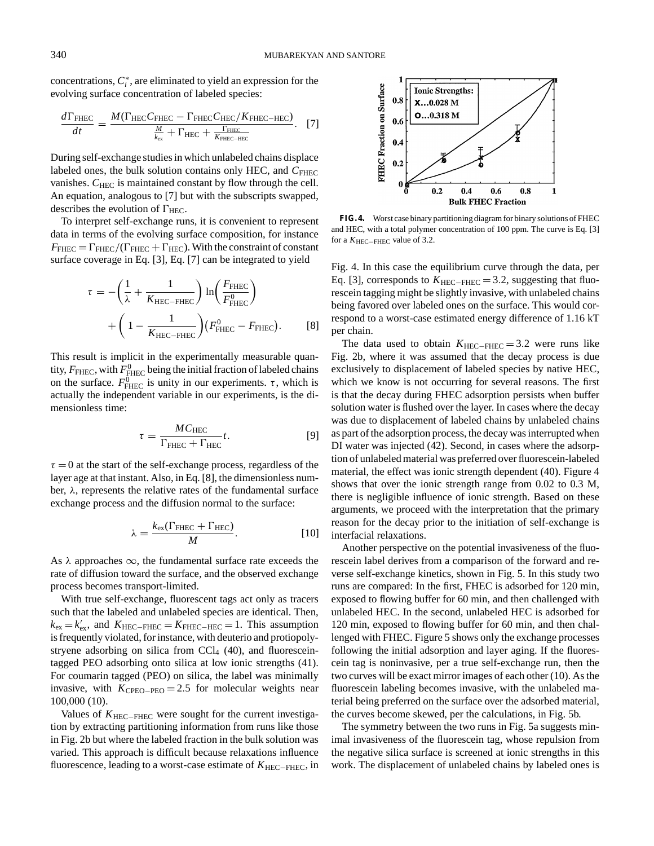concentrations,  $C_i^*$ , are eliminated to yield an expression for the evolving surface concentration of labeled species:

$$
\frac{d\Gamma_{\text{FHEC}}}{dt} = \frac{M(\Gamma_{\text{HEC}}C_{\text{FHEC}} - \Gamma_{\text{FHEC}}C_{\text{HEC}}/K_{\text{FHEC}-\text{HEC}})}{\frac{M}{k_{\text{ex}}} + \Gamma_{\text{HEC}} + \frac{\Gamma_{\text{FHEC}}}{K_{\text{FHEC}-\text{HEC}}}}.
$$
 [7]

During self-exchange studies in which unlabeled chains displace labeled ones, the bulk solution contains only HEC, and  $C_{\text{FHEC}}$ vanishes.  $C_{\text{HEC}}$  is maintained constant by flow through the cell. An equation, analogous to [7] but with the subscripts swapped, describes the evolution of  $\Gamma_{\text{HEC}}$ .

To interpret self-exchange runs, it is convenient to represent data in terms of the evolving surface composition, for instance  $F_{\text{FHEC}} = \Gamma_{\text{FHEC}}/(\Gamma_{\text{FHEC}} + \Gamma_{\text{HEC}})$ . With the constraint of constant surface coverage in Eq. [3], Eq. [7] can be integrated to yield

$$
\tau = -\left(\frac{1}{\lambda} + \frac{1}{K_{\text{HEC-FHEC}}}\right) \ln\left(\frac{F_{\text{FHEC}}}{F_{\text{FHEC}}^0}\right) + \left(1 - \frac{1}{K_{\text{HEC-FHEC}}}\right) \left(F_{\text{FHEC}}^0 - F_{\text{FHEC}}\right).
$$
 [8]

This result is implicit in the experimentally measurable quantity,  $F_\mathrm{FHEC}$ , with  $F^0_\mathrm{FHEC}$  being the initial fraction of labeled chains on the surface.  $F_{\text{FHEC}}^{0 \to \infty}$  is unity in our experiments.  $\tau$ , which is actually the independent variable in our experiments, is the dimensionless time:

$$
\tau = \frac{MC_{\text{HEC}}}{\Gamma_{\text{FHEC}} + \Gamma_{\text{HEC}}} t. \tag{9}
$$

 $\tau = 0$  at the start of the self-exchange process, regardless of the layer age at that instant. Also, in Eq. [8], the dimensionless number,  $\lambda$ , represents the relative rates of the fundamental surface exchange process and the diffusion normal to the surface:

$$
\lambda = \frac{k_{\text{ex}}(\Gamma_{\text{FHEC}} + \Gamma_{\text{HEC}})}{M}.
$$
 [10]

As  $\lambda$  approaches  $\infty$ , the fundamental surface rate exceeds the rate of diffusion toward the surface, and the observed exchange process becomes transport-limited.

With true self-exchange, fluorescent tags act only as tracers such that the labeled and unlabeled species are identical. Then,  $k_{\text{ex}} = k'_{\text{ex}}$ , and  $K_{\text{HEC}-\text{FHEC}} = K_{\text{FHEC}-\text{HEC}} = 1$ . This assumption is frequently violated, for instance, with deuterio and protiopolystryene adsorbing on silica from  $\text{Cl}_4$  (40), and fluoresceintagged PEO adsorbing onto silica at low ionic strengths (41). For coumarin tagged (PEO) on silica, the label was minimally invasive, with *K*CPEO−PEO = 2.5 for molecular weights near 100,000 (10).

Values of *K*<sub>HEC−FHEC</sub> were sought for the current investigation by extracting partitioning information from runs like those in Fig. 2b but where the labeled fraction in the bulk solution was varied. This approach is difficult because relaxations influence fluorescence, leading to a worst-case estimate of  $K_{\text{HEC-FHEC}}$ , in



**FIG. 4.** Worst case binary partitioning diagram for binary solutions of FHEC and HEC, with a total polymer concentration of 100 ppm. The curve is Eq. [3] for a *K*HEC−FHEC value of 3.2.

Fig. 4. In this case the equilibrium curve through the data, per Eq. [3], corresponds to  $K_{\text{HEC–FHEC}} = 3.2$ , suggesting that fluorescein tagging might be slightly invasive, with unlabeled chains being favored over labeled ones on the surface. This would correspond to a worst-case estimated energy difference of 1.16 kT per chain.

The data used to obtain  $K_{\text{HEC}-\text{FHEC}} = 3.2$  were runs like Fig. 2b, where it was assumed that the decay process is due exclusively to displacement of labeled species by native HEC, which we know is not occurring for several reasons. The first is that the decay during FHEC adsorption persists when buffer solution water is flushed over the layer. In cases where the decay was due to displacement of labeled chains by unlabeled chains as part of the adsorption process, the decay was interrupted when DI water was injected (42). Second, in cases where the adsorption of unlabeled material was preferred over fluorescein-labeled material, the effect was ionic strength dependent (40). Figure 4 shows that over the ionic strength range from 0.02 to 0.3 M, there is negligible influence of ionic strength. Based on these arguments, we proceed with the interpretation that the primary reason for the decay prior to the initiation of self-exchange is interfacial relaxations.

Another perspective on the potential invasiveness of the fluorescein label derives from a comparison of the forward and reverse self-exchange kinetics, shown in Fig. 5. In this study two runs are compared: In the first, FHEC is adsorbed for 120 min, exposed to flowing buffer for 60 min, and then challenged with unlabeled HEC. In the second, unlabeled HEC is adsorbed for 120 min, exposed to flowing buffer for 60 min, and then challenged with FHEC. Figure 5 shows only the exchange processes following the initial adsorption and layer aging. If the fluorescein tag is noninvasive, per a true self-exchange run, then the two curves will be exact mirror images of each other (10). As the fluorescein labeling becomes invasive, with the unlabeled material being preferred on the surface over the adsorbed material, the curves become skewed, per the calculations, in Fig. 5b.

The symmetry between the two runs in Fig. 5a suggests minimal invasiveness of the fluorescein tag, whose repulsion from the negative silica surface is screened at ionic strengths in this work. The displacement of unlabeled chains by labeled ones is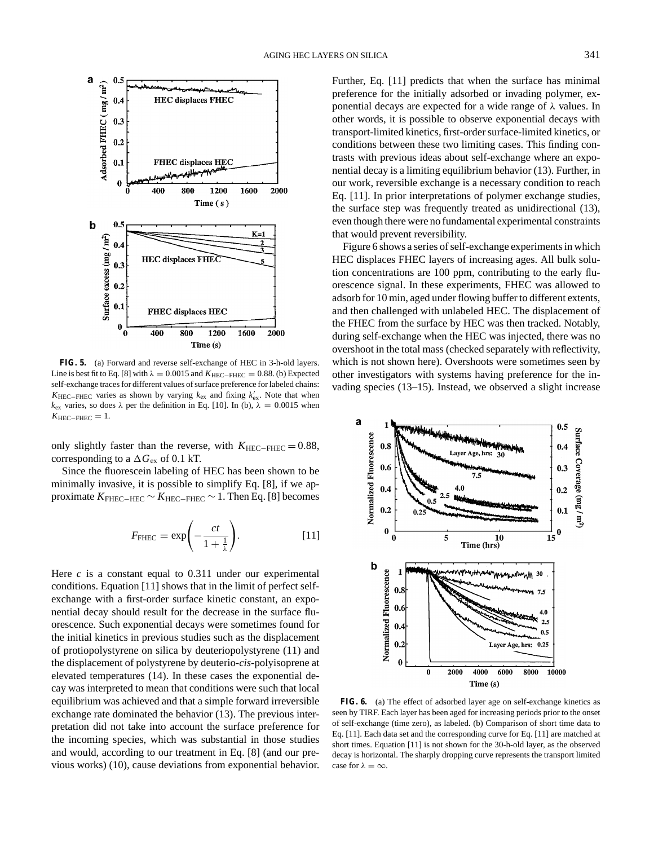

**FIG. 5.** (a) Forward and reverse self-exchange of HEC in 3-h-old layers. Line is best fit to Eq. [8] with  $\lambda = 0.0015$  and  $K_{\text{HEC-FHEC}} = 0.88$ . (b) Expected self-exchange traces for different values of surface preference for labeled chains:  $K_{\text{HEC-FHEC}}$  varies as shown by varying  $k_{\text{ex}}$  and fixing  $k'_{\text{ex}}$ . Note that when  $k_{\text{ex}}$  varies, so does  $\lambda$  per the definition in Eq. [10]. In (b),  $\lambda = 0.0015$  when  $K_{\text{HEC}-\text{FHEC}} = 1.$ 

only slightly faster than the reverse, with  $K_{\text{HEC}-\text{FHEC}} = 0.88$ , corresponding to a  $\Delta G_{\rm ex}$  of 0.1 kT.

Since the fluorescein labeling of HEC has been shown to be minimally invasive, it is possible to simplify Eq. [8], if we approximate  $K_{\text{FHEC}-\text{HEC}} \sim K_{\text{HEC}-\text{FHEC}} \sim 1$ . Then Eq. [8] becomes

$$
F_{\text{FHEC}} = \exp\left(-\frac{ct}{1 + \frac{1}{\lambda}}\right).
$$
 [11]

Here *c* is a constant equal to 0.311 under our experimental conditions. Equation [11] shows that in the limit of perfect selfexchange with a first-order surface kinetic constant, an exponential decay should result for the decrease in the surface fluorescence. Such exponential decays were sometimes found for the initial kinetics in previous studies such as the displacement of protiopolystyrene on silica by deuteriopolystyrene (11) and the displacement of polystyrene by deuterio-*cis*-polyisoprene at elevated temperatures (14). In these cases the exponential decay was interpreted to mean that conditions were such that local equilibrium was achieved and that a simple forward irreversible exchange rate dominated the behavior (13). The previous interpretation did not take into account the surface preference for the incoming species, which was substantial in those studies and would, according to our treatment in Eq. [8] (and our previous works) (10), cause deviations from exponential behavior. Further, Eq. [11] predicts that when the surface has minimal preference for the initially adsorbed or invading polymer, exponential decays are expected for a wide range of  $\lambda$  values. In other words, it is possible to observe exponential decays with transport-limited kinetics, first-order surface-limited kinetics, or conditions between these two limiting cases. This finding contrasts with previous ideas about self-exchange where an exponential decay is a limiting equilibrium behavior (13). Further, in our work, reversible exchange is a necessary condition to reach Eq. [11]. In prior interpretations of polymer exchange studies, the surface step was frequently treated as unidirectional (13), even though there were no fundamental experimental constraints that would prevent reversibility.

Figure 6 shows a series of self-exchange experiments in which HEC displaces FHEC layers of increasing ages. All bulk solution concentrations are 100 ppm, contributing to the early fluorescence signal. In these experiments, FHEC was allowed to adsorb for 10 min, aged under flowing buffer to different extents, and then challenged with unlabeled HEC. The displacement of the FHEC from the surface by HEC was then tracked. Notably, during self-exchange when the HEC was injected, there was no overshoot in the total mass (checked separately with reflectivity, which is not shown here). Overshoots were sometimes seen by other investigators with systems having preference for the invading species (13–15). Instead, we observed a slight increase



**FIG. 6.** (a) The effect of adsorbed layer age on self-exchange kinetics as seen by TIRF. Each layer has been aged for increasing periods prior to the onset of self-exchange (time zero), as labeled. (b) Comparison of short time data to Eq. [11]. Each data set and the corresponding curve for Eq. [11] are matched at short times. Equation [11] is not shown for the 30-h-old layer, as the observed decay is horizontal. The sharply dropping curve represents the transport limited case for  $\lambda = \infty$ .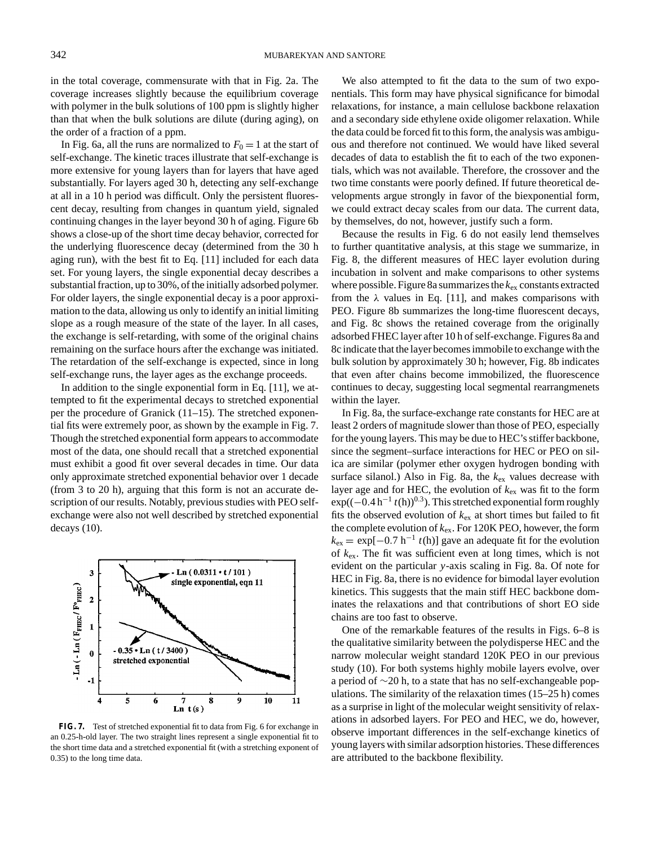in the total coverage, commensurate with that in Fig. 2a. The coverage increases slightly because the equilibrium coverage with polymer in the bulk solutions of 100 ppm is slightly higher than that when the bulk solutions are dilute (during aging), on the order of a fraction of a ppm.

In Fig. 6a, all the runs are normalized to  $F_0 = 1$  at the start of self-exchange. The kinetic traces illustrate that self-exchange is more extensive for young layers than for layers that have aged substantially. For layers aged 30 h, detecting any self-exchange at all in a 10 h period was difficult. Only the persistent fluorescent decay, resulting from changes in quantum yield, signaled continuing changes in the layer beyond 30 h of aging. Figure 6b shows a close-up of the short time decay behavior, corrected for the underlying fluorescence decay (determined from the 30 h aging run), with the best fit to Eq. [11] included for each data set. For young layers, the single exponential decay describes a substantial fraction, up to 30%, of the initially adsorbed polymer. For older layers, the single exponential decay is a poor approximation to the data, allowing us only to identify an initial limiting slope as a rough measure of the state of the layer. In all cases, the exchange is self-retarding, with some of the original chains remaining on the surface hours after the exchange was initiated. The retardation of the self-exchange is expected, since in long self-exchange runs, the layer ages as the exchange proceeds.

In addition to the single exponential form in Eq. [11], we attempted to fit the experimental decays to stretched exponential per the procedure of Granick (11–15). The stretched exponential fits were extremely poor, as shown by the example in Fig. 7. Though the stretched exponential form appears to accommodate most of the data, one should recall that a stretched exponential must exhibit a good fit over several decades in time. Our data only approximate stretched exponential behavior over 1 decade (from 3 to 20 h), arguing that this form is not an accurate description of our results. Notably, previous studies with PEO selfexchange were also not well described by stretched exponential decays (10).



**FIG. 7.** Test of stretched exponential fit to data from Fig. 6 for exchange in an 0.25-h-old layer. The two straight lines represent a single exponential fit to the short time data and a stretched exponential fit (with a stretching exponent of 0.35) to the long time data.

We also attempted to fit the data to the sum of two exponentials. This form may have physical significance for bimodal relaxations, for instance, a main cellulose backbone relaxation and a secondary side ethylene oxide oligomer relaxation. While the data could be forced fit to this form, the analysis was ambiguous and therefore not continued. We would have liked several decades of data to establish the fit to each of the two exponentials, which was not available. Therefore, the crossover and the two time constants were poorly defined. If future theoretical developments argue strongly in favor of the biexponential form, we could extract decay scales from our data. The current data, by themselves, do not, however, justify such a form.

Because the results in Fig. 6 do not easily lend themselves to further quantitative analysis, at this stage we summarize, in Fig. 8, the different measures of HEC layer evolution during incubation in solvent and make comparisons to other systems where possible. Figure 8a summarizes the *k*ex constants extracted from the  $\lambda$  values in Eq. [11], and makes comparisons with PEO. Figure 8b summarizes the long-time fluorescent decays, and Fig. 8c shows the retained coverage from the originally adsorbed FHEC layer after 10 h of self-exchange. Figures 8a and 8c indicate that the layer becomes immobile to exchange with the bulk solution by approximately 30 h; however, Fig. 8b indicates that even after chains become immobilized, the fluorescence continues to decay, suggesting local segmental rearrangmenets within the layer.

In Fig. 8a, the surface-exchange rate constants for HEC are at least 2 orders of magnitude slower than those of PEO, especially for the young layers. This may be due to HEC's stiffer backbone, since the segment–surface interactions for HEC or PEO on silica are similar (polymer ether oxygen hydrogen bonding with surface silanol.) Also in Fig. 8a, the *k*ex values decrease with layer age and for HEC, the evolution of *k*ex was fit to the form exp((-0.4 h<sup>-1</sup> *t*(h))<sup>0.3</sup>). This stretched exponential form roughly fits the observed evolution of  $k_{\text{ex}}$  at short times but failed to fit the complete evolution of *k*ex. For 120K PEO, however, the form  $k_{ex} = \exp[-0.7 \text{ h}^{-1} t(\text{h})]$  gave an adequate fit for the evolution of *k*ex. The fit was sufficient even at long times, which is not evident on the particular *y*-axis scaling in Fig. 8a. Of note for HEC in Fig. 8a, there is no evidence for bimodal layer evolution kinetics. This suggests that the main stiff HEC backbone dominates the relaxations and that contributions of short EO side chains are too fast to observe.

One of the remarkable features of the results in Figs. 6–8 is the qualitative similarity between the polydisperse HEC and the narrow molecular weight standard 120K PEO in our previous study (10). For both systems highly mobile layers evolve, over a period of ∼20 h, to a state that has no self-exchangeable populations. The similarity of the relaxation times (15–25 h) comes as a surprise in light of the molecular weight sensitivity of relaxations in adsorbed layers. For PEO and HEC, we do, however, observe important differences in the self-exchange kinetics of young layers with similar adsorption histories. These differences are attributed to the backbone flexibility.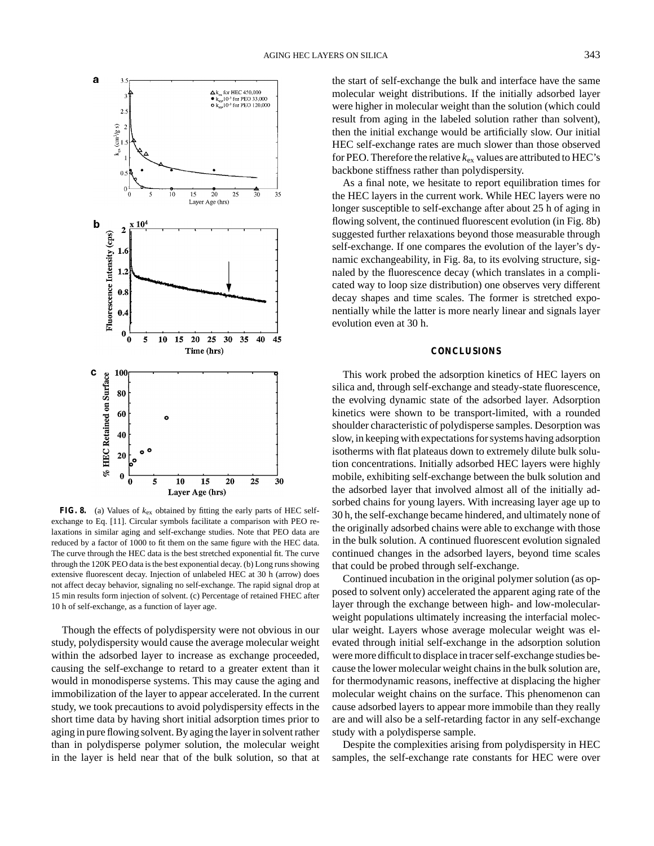

**FIG. 8.** (a) Values of *k*ex obtained by fitting the early parts of HEC selfexchange to Eq. [11]. Circular symbols facilitate a comparison with PEO relaxations in similar aging and self-exchange studies. Note that PEO data are reduced by a factor of 1000 to fit them on the same figure with the HEC data. The curve through the HEC data is the best stretched exponential fit. The curve through the 120K PEO data is the best exponential decay. (b) Long runs showing extensive fluorescent decay. Injection of unlabeled HEC at 30 h (arrow) does not affect decay behavior, signaling no self-exchange. The rapid signal drop at 15 min results form injection of solvent. (c) Percentage of retained FHEC after 10 h of self-exchange, as a function of layer age.

Though the effects of polydispersity were not obvious in our study, polydispersity would cause the average molecular weight within the adsorbed layer to increase as exchange proceeded, causing the self-exchange to retard to a greater extent than it would in monodisperse systems. This may cause the aging and immobilization of the layer to appear accelerated. In the current study, we took precautions to avoid polydispersity effects in the short time data by having short initial adsorption times prior to aging in pure flowing solvent. By aging the layer in solvent rather than in polydisperse polymer solution, the molecular weight in the layer is held near that of the bulk solution, so that at

the start of self-exchange the bulk and interface have the same molecular weight distributions. If the initially adsorbed layer were higher in molecular weight than the solution (which could result from aging in the labeled solution rather than solvent), then the initial exchange would be artificially slow. Our initial HEC self-exchange rates are much slower than those observed for PEO. Therefore the relative  $k_{ex}$  values are attributed to HEC's backbone stiffness rather than polydispersity.

As a final note, we hesitate to report equilibration times for the HEC layers in the current work. While HEC layers were no longer susceptible to self-exchange after about 25 h of aging in flowing solvent, the continued fluorescent evolution (in Fig. 8b) suggested further relaxations beyond those measurable through self-exchange. If one compares the evolution of the layer's dynamic exchangeability, in Fig. 8a, to its evolving structure, signaled by the fluorescence decay (which translates in a complicated way to loop size distribution) one observes very different decay shapes and time scales. The former is stretched exponentially while the latter is more nearly linear and signals layer evolution even at 30 h.

#### **CONCLUSIONS**

This work probed the adsorption kinetics of HEC layers on silica and, through self-exchange and steady-state fluorescence, the evolving dynamic state of the adsorbed layer. Adsorption kinetics were shown to be transport-limited, with a rounded shoulder characteristic of polydisperse samples. Desorption was slow, in keeping with expectations for systems having adsorption isotherms with flat plateaus down to extremely dilute bulk solution concentrations. Initially adsorbed HEC layers were highly mobile, exhibiting self-exchange between the bulk solution and the adsorbed layer that involved almost all of the initially adsorbed chains for young layers. With increasing layer age up to 30 h, the self-exchange became hindered, and ultimately none of the originally adsorbed chains were able to exchange with those in the bulk solution. A continued fluorescent evolution signaled continued changes in the adsorbed layers, beyond time scales that could be probed through self-exchange.

Continued incubation in the original polymer solution (as opposed to solvent only) accelerated the apparent aging rate of the layer through the exchange between high- and low-molecularweight populations ultimately increasing the interfacial molecular weight. Layers whose average molecular weight was elevated through initial self-exchange in the adsorption solution were more difficult to displace in tracer self-exchange studies because the lower molecular weight chains in the bulk solution are, for thermodynamic reasons, ineffective at displacing the higher molecular weight chains on the surface. This phenomenon can cause adsorbed layers to appear more immobile than they really are and will also be a self-retarding factor in any self-exchange study with a polydisperse sample.

Despite the complexities arising from polydispersity in HEC samples, the self-exchange rate constants for HEC were over